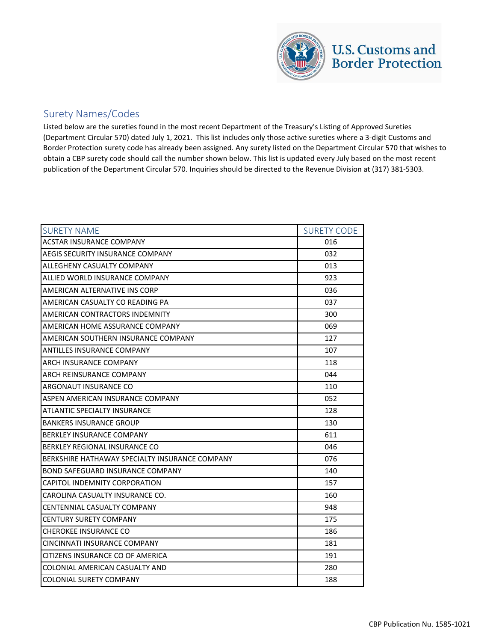

## Surety Names/Codes

Listed below are the sureties found in the most recent Department of the Treasury's Listing of Approved Sureties (Department Circular 570) dated July 1, 2021. This list includes only those active sureties where a 3-digit Customs and Border Protection surety code has already been assigned. Any surety listed on the Department Circular 570 that wishes to obtain a CBP surety code should call the number shown below. This list is updated every July based on the most recent publication of the Department Circular 570. Inquiries should be directed to the Revenue Division at (317) 381-5303.

| <b>SURETY NAME</b>                             | <b>SURETY CODE</b> |
|------------------------------------------------|--------------------|
| <b>ACSTAR INSURANCE COMPANY</b>                | 016                |
| AEGIS SECURITY INSURANCE COMPANY               | 032                |
| ALLEGHENY CASUALTY COMPANY                     | 013                |
| ALLIED WORLD INSURANCE COMPANY                 | 923                |
| AMERICAN ALTERNATIVE INS CORP                  | 036                |
| AMERICAN CASUALTY CO READING PA                | 037                |
| AMERICAN CONTRACTORS INDEMNITY                 | 300                |
| AMERICAN HOME ASSURANCE COMPANY                | 069                |
| AMERICAN SOUTHERN INSURANCE COMPANY            | 127                |
| ANTILLES INSURANCE COMPANY                     | 107                |
| ARCH INSURANCE COMPANY                         | 118                |
| ARCH REINSURANCE COMPANY                       | 044                |
| ARGONAUT INSURANCE CO                          | 110                |
| ASPEN AMERICAN INSURANCE COMPANY               | 052                |
| <b>ATLANTIC SPECIALTY INSURANCE</b>            | 128                |
| <b>BANKERS INSURANCE GROUP</b>                 | 130                |
| <b>BERKLEY INSURANCE COMPANY</b>               | 611                |
| BERKLEY REGIONAL INSURANCE CO                  | 046                |
| BERKSHIRE HATHAWAY SPECIALTY INSURANCE COMPANY | 076                |
| BOND SAFEGUARD INSURANCE COMPANY               | 140                |
| CAPITOL INDEMNITY CORPORATION                  | 157                |
| CAROLINA CASUALTY INSURANCE CO.                | 160                |
| CENTENNIAL CASUALTY COMPANY                    | 948                |
| <b>CENTURY SURETY COMPANY</b>                  | 175                |
| <b>CHEROKEE INSURANCE CO</b>                   | 186                |
| CINCINNATI INSURANCE COMPANY                   | 181                |
| CITIZENS INSURANCE CO OF AMERICA               | 191                |
| COLONIAL AMERICAN CASUALTY AND                 | 280                |
| <b>COLONIAL SURETY COMPANY</b>                 | 188                |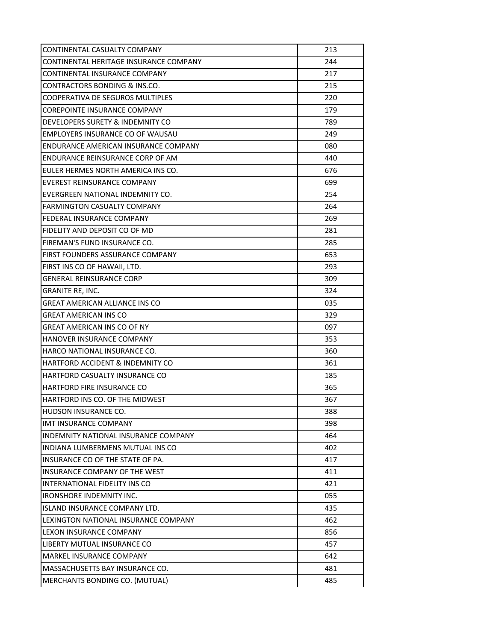| CONTINENTAL CASUALTY COMPANY           | 213 |
|----------------------------------------|-----|
| CONTINENTAL HERITAGE INSURANCE COMPANY | 244 |
| CONTINENTAL INSURANCE COMPANY          | 217 |
| CONTRACTORS BONDING & INS.CO.          | 215 |
| COOPERATIVA DE SEGUROS MULTIPLES       | 220 |
| COREPOINTE INSURANCE COMPANY           | 179 |
| DEVELOPERS SURETY & INDEMNITY CO       | 789 |
| EMPLOYERS INSURANCE CO OF WAUSAU       | 249 |
| ENDURANCE AMERICAN INSURANCE COMPANY   | 080 |
| ENDURANCE REINSURANCE CORP OF AM       | 440 |
| EULER HERMES NORTH AMERICA INS CO.     | 676 |
| EVEREST REINSURANCE COMPANY            | 699 |
| EVERGREEN NATIONAL INDEMNITY CO.       | 254 |
| <b>FARMINGTON CASUALTY COMPANY</b>     | 264 |
| FEDERAL INSURANCE COMPANY              | 269 |
| FIDELITY AND DEPOSIT CO OF MD          | 281 |
| FIREMAN'S FUND INSURANCE CO.           | 285 |
| FIRST FOUNDERS ASSURANCE COMPANY       | 653 |
| FIRST INS CO OF HAWAII, LTD.           | 293 |
| <b>GENERAL REINSURANCE CORP</b>        | 309 |
| GRANITE RE, INC.                       | 324 |
| GREAT AMERICAN ALLIANCE INS CO         | 035 |
| <b>GREAT AMERICAN INS CO</b>           | 329 |
| GREAT AMERICAN INS CO OF NY            | 097 |
| HANOVER INSURANCE COMPANY              | 353 |
| HARCO NATIONAL INSURANCE CO.           | 360 |
| HARTFORD ACCIDENT & INDEMNITY CO       | 361 |
| HARTFORD CASUALTY INSURANCE CO         | 185 |
| HARTFORD FIRE INSURANCE CO             | 365 |
| HARTFORD INS CO. OF THE MIDWEST        | 367 |
| HUDSON INSURANCE CO.                   | 388 |
| <b>IMT INSURANCE COMPANY</b>           | 398 |
| INDEMNITY NATIONAL INSURANCE COMPANY   | 464 |
| INDIANA LUMBERMENS MUTUAL INS CO       | 402 |
| INSURANCE CO OF THE STATE OF PA.       | 417 |
| <b>INSURANCE COMPANY OF THE WEST</b>   | 411 |
| <b>INTERNATIONAL FIDELITY INS CO</b>   | 421 |
| <b>IRONSHORE INDEMNITY INC.</b>        | 055 |
| <b>ISLAND INSURANCE COMPANY LTD.</b>   | 435 |
| LEXINGTON NATIONAL INSURANCE COMPANY   | 462 |
| <b>LEXON INSURANCE COMPANY</b>         | 856 |
| LIBERTY MUTUAL INSURANCE CO            | 457 |
| MARKEL INSURANCE COMPANY               | 642 |
| MASSACHUSETTS BAY INSURANCE CO.        | 481 |
| MERCHANTS BONDING CO. (MUTUAL)         | 485 |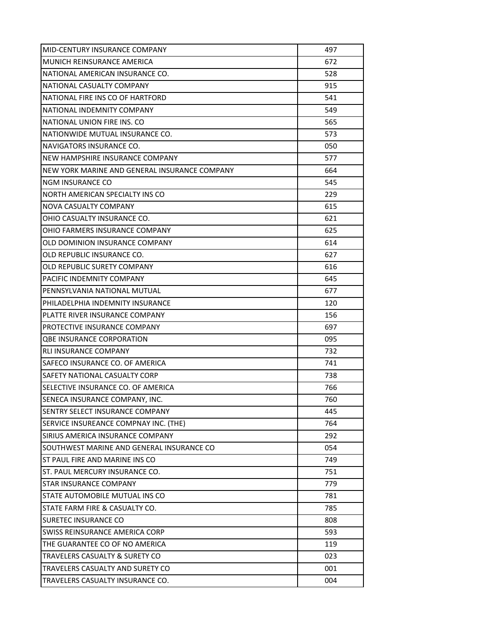| MID-CENTURY INSURANCE COMPANY                 | 497 |
|-----------------------------------------------|-----|
| MUNICH REINSURANCE AMERICA                    | 672 |
| NATIONAL AMERICAN INSURANCE CO.               | 528 |
| NATIONAL CASUALTY COMPANY                     | 915 |
| NATIONAL FIRE INS CO OF HARTFORD              | 541 |
| NATIONAL INDEMNITY COMPANY                    | 549 |
| NATIONAL UNION FIRE INS. CO                   | 565 |
| NATIONWIDE MUTUAL INSURANCE CO.               | 573 |
| NAVIGATORS INSURANCE CO.                      | 050 |
| NEW HAMPSHIRE INSURANCE COMPANY               | 577 |
| NEW YORK MARINE AND GENERAL INSURANCE COMPANY | 664 |
| NGM INSURANCE CO                              | 545 |
| NORTH AMERICAN SPECIALTY INS CO               | 229 |
| NOVA CASUALTY COMPANY                         | 615 |
| OHIO CASUALTY INSURANCE CO.                   | 621 |
| OHIO FARMERS INSURANCE COMPANY                | 625 |
| OLD DOMINION INSURANCE COMPANY                | 614 |
| OLD REPUBLIC INSURANCE CO.                    | 627 |
| OLD REPUBLIC SURETY COMPANY                   | 616 |
| PACIFIC INDEMNITY COMPANY                     | 645 |
| PENNSYLVANIA NATIONAL MUTUAL                  | 677 |
| PHILADELPHIA INDEMNITY INSURANCE              | 120 |
| PLATTE RIVER INSURANCE COMPANY                | 156 |
| PROTECTIVE INSURANCE COMPANY                  | 697 |
| <b>QBE INSURANCE CORPORATION</b>              | 095 |
| <b>RLI INSURANCE COMPANY</b>                  | 732 |
| SAFECO INSURANCE CO. OF AMERICA               | 741 |
| SAFETY NATIONAL CASUALTY CORP                 | 738 |
| SELECTIVE INSURANCE CO. OF AMERICA            | 766 |
| SENECA INSURANCE COMPANY, INC.                | 760 |
| SENTRY SELECT INSURANCE COMPANY               | 445 |
| SERVICE INSUREANCE COMPNAY INC. (THE)         | 764 |
| SIRIUS AMERICA INSURANCE COMPANY              | 292 |
| SOUTHWEST MARINE AND GENERAL INSURANCE CO     | 054 |
| ST PAUL FIRE AND MARINE INS CO                | 749 |
| ST. PAUL MERCURY INSURANCE CO.                | 751 |
| <b>STAR INSURANCE COMPANY</b>                 | 779 |
| STATE AUTOMOBILE MUTUAL INS CO                | 781 |
| STATE FARM FIRE & CASUALTY CO.                | 785 |
| <b>SURETEC INSURANCE CO</b>                   | 808 |
| SWISS REINSURANCE AMERICA CORP                | 593 |
| THE GUARANTEE CO OF NO AMERICA                | 119 |
| TRAVELERS CASUALTY & SURETY CO                | 023 |
| TRAVELERS CASUALTY AND SURETY CO              | 001 |
| TRAVELERS CASUALTY INSURANCE CO.              | 004 |